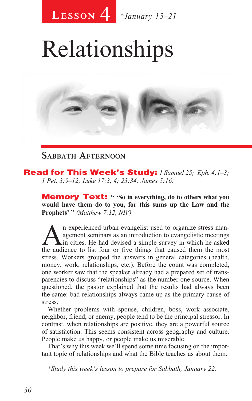

# Relationships



### **Sabbath Afternoon**

Read for This Week's Study: *1 Samuel 25; Eph. 4:1–3; 1 Pet. 3:9–12; Luke 17:3, 4; 23:34; James 5:16.*

Memory Text: **" 'So in everything, do to others what you would have them do to you, for this sums up the Law and the Prophets' "** *(Matthew 7:12, NIV).*

An experienced urban evangelist used to organize stress man-<br>agement seminars as an introduction to evangelistic meetings<br>the audience to list four or five things that caused them the most agement seminars as an introduction to evangelistic meetings the audience to list four or five things that caused them the most stress. Workers grouped the answers in general categories (health, money, work, relationships, etc.). Before the count was completed, one worker saw that the speaker already had a prepared set of transparencies to discuss "relationships" as the number one source. When questioned, the pastor explained that the results had always been the same: bad relationships always came up as the primary cause of stress.

Whether problems with spouse, children, boss, work associate, neighbor, friend, or enemy, people tend to be the principal stressor. In contrast, when relationships are positive, they are a powerful source of satisfaction. This seems consistent across geography and culture. People make us happy, or people make us miserable.

That's why this week we'll spend some time focusing on the important topic of relationships and what the Bible teaches us about them.

*\*Study this week's lesson to prepare for Sabbath, January 22.*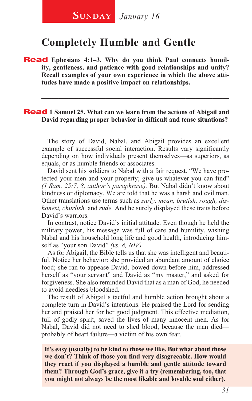## **Completely Humble and Gentle**

**Read** Ephesians 4:1-3. Why do you think Paul connects humil**ity, gentleness, and patience with good relationships and unity? Recall examples of your own experience in which the above attitudes have made a positive impact on relationships.** 

#### **Read** 1 Samuel 25. What can we learn from the actions of Abigail and **David regarding proper behavior in difficult and tense situations?**

The story of David, Nabal, and Abigail provides an excellent example of successful social interaction. Results vary significantly depending on how individuals present themselves—as superiors, as equals, or as humble friends or associates.

\_\_\_\_\_\_\_\_\_\_\_\_\_\_\_\_\_\_\_\_\_\_\_\_\_\_\_\_\_\_\_\_\_\_\_\_\_\_\_\_\_\_\_\_\_\_\_\_\_\_\_\_\_\_\_\_

David sent his soldiers to Nabal with a fair request. "We have protected your men and your property; give us whatever you can find" *(1 Sam. 25:7, 8, author's paraphrase).* But Nabal didn't know about kindness or diplomacy. We are told that he was a harsh and evil man. Other translations use terms such as *surly, mean, brutish, rough, dishonest, churlish,* and *rude.* And he surely displayed these traits before David's warriors.

In contrast, notice David's initial attitude. Even though he held the military power, his message was full of care and humility, wishing Nabal and his household long life and good health, introducing himself as "your son David" *(vs. 8, NIV).* 

As for Abigail, the Bible tells us that she was intelligent and beautiful. Notice her behavior: she provided an abundant amount of choice food; she ran to appease David, bowed down before him, addressed herself as "your servant" and David as "my master," and asked for forgiveness. She also reminded David that as a man of God, he needed to avoid needless bloodshed.

The result of Abigail's tactful and humble action brought about a complete turn in David's intentions. He praised the Lord for sending her and praised her for her good judgment. This effective mediation, full of godly spirit, saved the lives of many innocent men. As for Nabal, David did not need to shed blood, because the man died probably of heart failure—a victim of his own fear.

**It's easy (usually) to be kind to those we like. But what about those we don't? Think of those you find very disagreeable. How would they react if you displayed a humble and gentle attitude toward them? Through God's grace, give it a try (remembering, too, that you might not always be the most likable and lovable soul either).**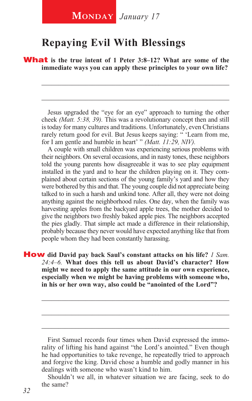## **Repaying Evil With Blessings**

**What** is the true intent of 1 Peter 3:8–12? What are some of the **immediate ways you can apply these principles to your own life?**

Jesus upgraded the "eye for an eye" approach to turning the other cheek *(Matt. 5:38, 39).* This was a revolutionary concept then and still is today for many cultures and traditions. Unfortunately, even Christians rarely return good for evil. But Jesus keeps saying: " 'Learn from me, for I am gentle and humble in heart' " *(Matt. 11:29, NIV).*

\_\_\_\_\_\_\_\_\_\_\_\_\_\_\_\_\_\_\_\_\_\_\_\_\_\_\_\_\_\_\_\_\_\_\_\_\_\_\_\_\_\_\_\_\_\_\_\_\_\_\_\_\_\_\_\_

\_\_\_\_\_\_\_\_\_\_\_\_\_\_\_\_\_\_\_\_\_\_\_\_\_\_\_\_\_\_\_\_\_\_\_\_\_\_\_\_\_\_\_\_\_\_\_\_\_\_\_\_\_\_\_\_

A couple with small children was experiencing serious problems with their neighbors. On several occasions, and in nasty tones, these neighbors told the young parents how disagreeable it was to see play equipment installed in the yard and to hear the children playing on it. They complained about certain sections of the young family's yard and how they were bothered by this and that. The young couple did not appreciate being talked to in such a harsh and unkind tone. After all, they were not doing anything against the neighborhood rules. One day, when the family was harvesting apples from the backyard apple trees, the mother decided to give the neighbors two freshly baked apple pies. The neighbors accepted the pies gladly. That simple act made a difference in their relationship, probably because they never would have expected anything like that from people whom they had been constantly harassing.

How **did David pay back Saul's constant attacks on his life?** *1 Sam. 24:4–6.* **What does this tell us about David's character? How might we need to apply the same attitude in our own experience, especially when we might be having problems with someone who, in his or her own way, also could be "anointed of the Lord"?** 

\_\_\_\_\_\_\_\_\_\_\_\_\_\_\_\_\_\_\_\_\_\_\_\_\_\_\_\_\_\_\_\_\_\_\_\_\_\_\_\_\_\_\_\_\_\_\_\_\_\_\_\_\_\_\_\_

\_\_\_\_\_\_\_\_\_\_\_\_\_\_\_\_\_\_\_\_\_\_\_\_\_\_\_\_\_\_\_\_\_\_\_\_\_\_\_\_\_\_\_\_\_\_\_\_\_\_\_\_\_\_\_\_ \_\_\_\_\_\_\_\_\_\_\_\_\_\_\_\_\_\_\_\_\_\_\_\_\_\_\_\_\_\_\_\_\_\_\_\_\_\_\_\_\_\_\_\_\_\_\_\_\_\_\_\_\_\_\_\_

Shouldn't we all, in whatever situation we are facing, seek to do the same?

First Samuel records four times when David expressed the immorality of lifting his hand against "the Lord's anointed." Even though he had opportunities to take revenge, he repeatedly tried to approach and forgive the king. David chose a humble and godly manner in his dealings with someone who wasn't kind to him.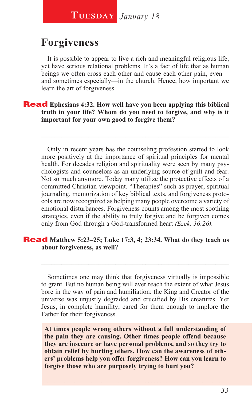## **Forgiveness**

It is possible to appear to live a rich and meaningful religious life, yet have serious relational problems. It's a fact of life that as human beings we often cross each other and cause each other pain, even and sometimes especially—in the church. Hence, how important we learn the art of forgiveness.

**Read** Ephesians 4:32. How well have you been applying this biblical **truth in your life? Whom do you need to forgive, and why is it important for your own good to forgive them?** 

Only in recent years has the counseling profession started to look more positively at the importance of spiritual principles for mental health. For decades religion and spirituality were seen by many psychologists and counselors as an underlying source of guilt and fear. Not so much anymore. Today many utilize the protective effects of a committed Christian viewpoint. "Therapies" such as prayer, spiritual journaling, memorization of key biblical texts, and forgiveness protocols are now recognized as helping many people overcome a variety of emotional disturbances. Forgiveness counts among the most soothing strategies, even if the ability to truly forgive and be forgiven comes only from God through a God-transformed heart *(Ezek. 36:26).*

\_\_\_\_\_\_\_\_\_\_\_\_\_\_\_\_\_\_\_\_\_\_\_\_\_\_\_\_\_\_\_\_\_\_\_\_\_\_\_\_\_\_\_\_\_\_\_\_\_\_\_\_\_\_\_\_

#### Read **Matthew 5:23–25; Luke 17:3, 4; 23:34. What do they teach us about forgiveness, as well?**

Sometimes one may think that forgiveness virtually is impossible to grant. But no human being will ever reach the extent of what Jesus bore in the way of pain and humiliation: the King and Creator of the universe was unjustly degraded and crucified by His creatures. Yet Jesus, in complete humility, cared for them enough to implore the Father for their forgiveness.

\_\_\_\_\_\_\_\_\_\_\_\_\_\_\_\_\_\_\_\_\_\_\_\_\_\_\_\_\_\_\_\_\_\_\_\_\_\_\_\_\_\_\_\_\_\_\_\_\_\_\_\_\_\_\_\_

**At times people wrong others without a full understanding of the pain they are causing. Other times people offend because they are insecure or have personal problems, and so they try to obtain relief by hurting others. How can the awareness of others' problems help you offer forgiveness? How can you learn to forgive those who are purposely trying to hurt you?**

**\_\_\_\_\_\_\_\_\_\_\_\_\_\_\_\_\_\_\_\_\_\_\_\_\_\_\_\_\_\_\_\_\_\_\_\_\_\_\_\_\_\_\_\_\_\_\_\_\_\_\_\_\_\_\_**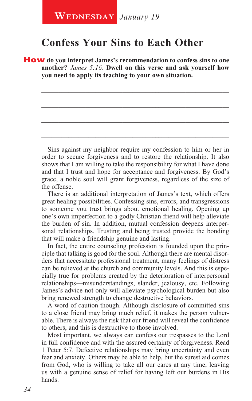## **Confess Your Sins to Each Other**

How **do you interpret James's recommendation to confess sins to one another?** *James 5:16.* **Dwell on this verse and ask yourself how you need to apply its teaching to your own situation.**

\_\_\_\_\_\_\_\_\_\_\_\_\_\_\_\_\_\_\_\_\_\_\_\_\_\_\_\_\_\_\_\_\_\_\_\_\_\_\_\_\_\_\_\_\_\_\_\_\_\_\_\_\_\_\_\_

\_\_\_\_\_\_\_\_\_\_\_\_\_\_\_\_\_\_\_\_\_\_\_\_\_\_\_\_\_\_\_\_\_\_\_\_\_\_\_\_\_\_\_\_\_\_\_\_\_\_\_\_\_\_\_\_

\_\_\_\_\_\_\_\_\_\_\_\_\_\_\_\_\_\_\_\_\_\_\_\_\_\_\_\_\_\_\_\_\_\_\_\_\_\_\_\_\_\_\_\_\_\_\_\_\_\_\_\_\_\_\_\_

\_\_\_\_\_\_\_\_\_\_\_\_\_\_\_\_\_\_\_\_\_\_\_\_\_\_\_\_\_\_\_\_\_\_\_\_\_\_\_\_\_\_\_\_\_\_\_\_\_\_\_\_\_\_\_\_

Sins against my neighbor require my confession to him or her in order to secure forgiveness and to restore the relationship. It also shows that I am willing to take the responsibility for what I have done and that I trust and hope for acceptance and forgiveness. By God's grace, a noble soul will grant forgiveness, regardless of the size of the offense.

There is an additional interpretation of James's text, which offers great healing possibilities. Confessing sins, errors, and transgressions to someone you trust brings about emotional healing. Opening up one's own imperfection to a godly Christian friend will help alleviate the burden of sin. In addition, mutual confession deepens interpersonal relationships. Trusting and being trusted provide the bonding that will make a friendship genuine and lasting.

In fact, the entire counseling profession is founded upon the principle that talking is good for the soul. Although there are mental disorders that necessitate professional treatment, many feelings of distress can be relieved at the church and community levels. And this is especially true for problems created by the deterioration of interpersonal relationships—misunderstandings, slander, jealousy, etc. Following James's advice not only will alleviate psychological burden but also bring renewed strength to change destructive behaviors.

A word of caution though. Although disclosure of committed sins to a close friend may bring much relief, it makes the person vulnerable. There is always the risk that our friend will reveal the confidence to others, and this is destructive to those involved.

Most important, we always can confess our trespasses to the Lord in full confidence and with the assured certainty of forgiveness. Read 1 Peter 5:7. Defective relationships may bring uncertainty and even fear and anxiety. Others may be able to help, but the surest aid comes from God, who is willing to take all our cares at any time, leaving us with a genuine sense of relief for having left our burdens in His hands.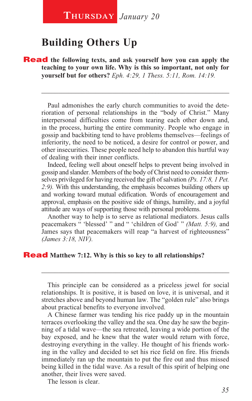## **Building Others Up**

**Read** the following texts, and ask yourself how you can apply the **teaching to your own life. Why is this so important, not only for yourself but for others?** *Eph. 4:29, 1 Thess. 5:11, Rom. 14:19.*

Paul admonishes the early church communities to avoid the deterioration of personal relationships in the "body of Christ." Many interpersonal difficulties come from tearing each other down and, in the process, hurting the entire community. People who engage in gossip and backbiting tend to have problems themselves—feelings of inferiority, the need to be noticed, a desire for control or power, and other insecurities. These people need help to abandon this hurtful way of dealing with their inner conflicts.

\_\_\_\_\_\_\_\_\_\_\_\_\_\_\_\_\_\_\_\_\_\_\_\_\_\_\_\_\_\_\_\_\_\_\_\_\_\_\_\_\_\_\_\_\_\_\_\_\_\_\_\_\_\_\_\_

Indeed, feeling well about oneself helps to prevent being involved in gossip and slander. Members of the body of Christ need to consider themselves privileged for having received the gift of salvation *(Ps. 17:8, 1 Pet. 2:9).* With this understanding, the emphasis becomes building others up and working toward mutual edification. Words of encouragement and approval, emphasis on the positive side of things, humility, and a joyful attitude are ways of supporting those with personal problems.

Another way to help is to serve as relational mediators. Jesus calls peacemakers " 'blessed' " and " 'children of God' " *(Matt. 5:9),* and James says that peacemakers will reap "a harvest of righteousness" *(James 3:18, NIV).*

#### Read **Matthew 7:12. Why is this so key to all relationships?**

This principle can be considered as a priceless jewel for social relationships. It is positive, it is based on love, it is universal, and it stretches above and beyond human law. The "golden rule" also brings about practical benefits to everyone involved.

\_\_\_\_\_\_\_\_\_\_\_\_\_\_\_\_\_\_\_\_\_\_\_\_\_\_\_\_\_\_\_\_\_\_\_\_\_\_\_\_\_\_\_\_\_\_\_\_\_\_\_\_\_\_\_\_

A Chinese farmer was tending his rice paddy up in the mountain terraces overlooking the valley and the sea. One day he saw the beginning of a tidal wave—the sea retreated, leaving a wide portion of the bay exposed, and he knew that the water would return with force, destroying everything in the valley. He thought of his friends working in the valley and decided to set his rice field on fire. His friends immediately ran up the mountain to put the fire out and thus missed being killed in the tidal wave. As a result of this spirit of helping one another, their lives were saved.

The lesson is clear.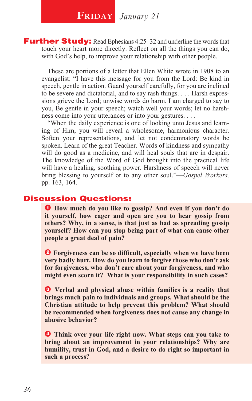Further Study: Read Ephesians 4:25–32 and underline the words that touch your heart more directly. Reflect on all the things you can do, with God's help, to improve your relationship with other people.

These are portions of a letter that Ellen White wrote in 1908 to an evangelist: "I have this message for you from the Lord: Be kind in speech, gentle in action. Guard yourself carefully, for you are inclined to be severe and dictatorial, and to say rash things. . . . Harsh expressions grieve the Lord; unwise words do harm. I am charged to say to you, Be gentle in your speech; watch well your words; let no harshness come into your utterances or into your gestures. . . .

"When the daily experience is one of looking unto Jesus and learning of Him, you will reveal a wholesome, harmonious character. Soften your representations, and let not condemnatory words be spoken. Learn of the great Teacher. Words of kindness and sympathy will do good as a medicine, and will heal souls that are in despair. The knowledge of the Word of God brought into the practical life will have a healing, soothing power. Harshness of speech will never bring blessing to yourself or to any other soul."—*Gospel Workers,*  pp. 163, 164.

#### Discussion Questions:

l **How much do you like to gossip? And even if you don't do**  1 **it yourself, how eager and open are you to hear gossip from others? Why, in a sense, is that just as bad as spreading gossip yourself? How can you stop being part of what can cause other people a great deal of pain?** 

 $\Theta$  Forgiveness can be so difficult, especially when we have been **very badly hurt. How do you learn to forgive those who don't ask for forgiveness, who don't care about your forgiveness, and who might even scorn it? What is your responsibility in such cases?** 

 $\odot$  Verbal and physical abuse within families is a reality that **brings much pain to individuals and groups. What should be the Christian attitude to help prevent this problem? What should be recommended when forgiveness does not cause any change in abusive behavior?**

**O** Think over your life right now. What steps can you take to **bring about an improvement in your relationships? Why are humility, trust in God, and a desire to do right so important in such a process?**